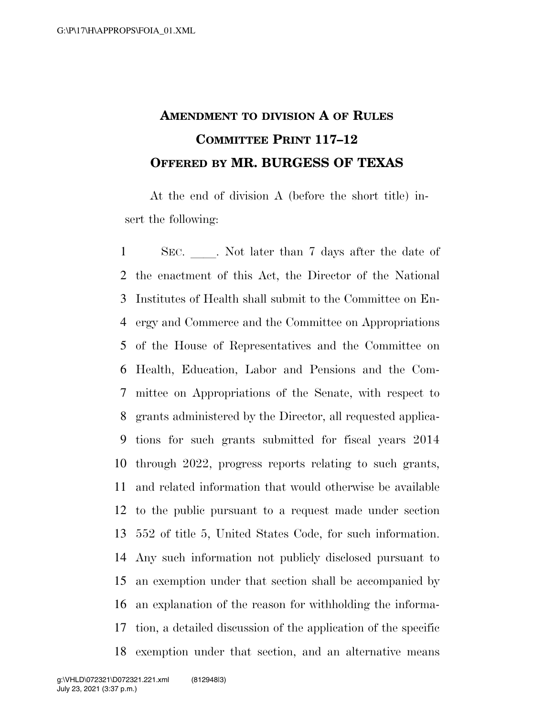## **AMENDMENT TO DIVISION A OF RULES COMMITTEE PRINT 117–12 OFFERED BY MR. BURGESS OF TEXAS**

At the end of division A (before the short title) insert the following:

1 SEC. Not later than 7 days after the date of the enactment of this Act, the Director of the National Institutes of Health shall submit to the Committee on En- ergy and Commerce and the Committee on Appropriations of the House of Representatives and the Committee on Health, Education, Labor and Pensions and the Com- mittee on Appropriations of the Senate, with respect to grants administered by the Director, all requested applica- tions for such grants submitted for fiscal years 2014 through 2022, progress reports relating to such grants, and related information that would otherwise be available to the public pursuant to a request made under section 552 of title 5, United States Code, for such information. Any such information not publicly disclosed pursuant to an exemption under that section shall be accompanied by an explanation of the reason for withholding the informa- tion, a detailed discussion of the application of the specific exemption under that section, and an alternative means